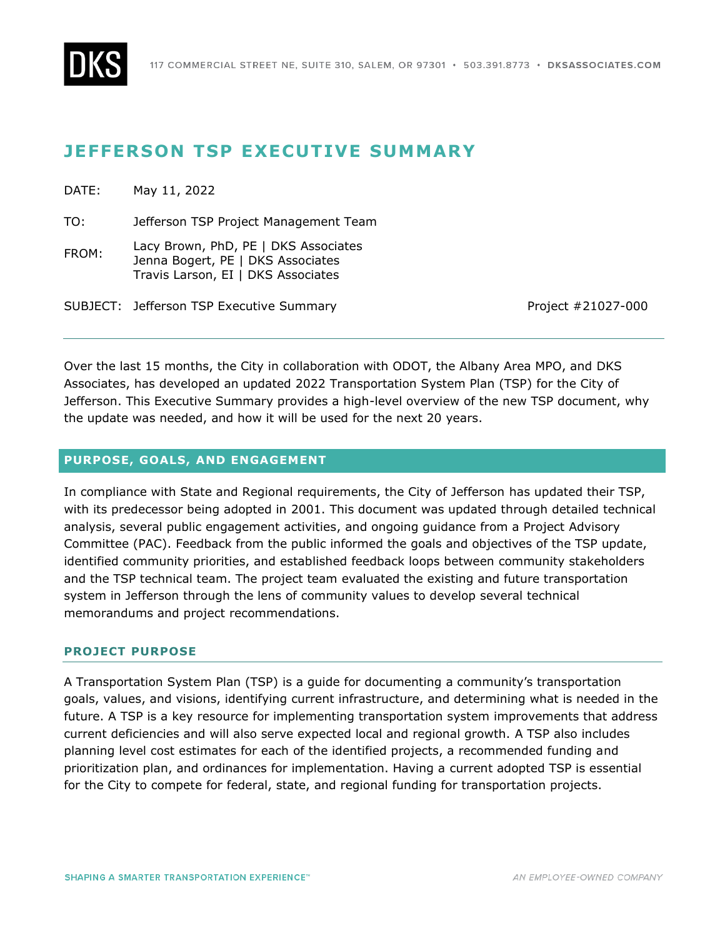

# **JEFFERSON TSP EXECUTIVE SUMMARY**

DATE: May 11, 2022

TO: Jefferson TSP Project Management Team

FROM: Lacy Brown, PhD, PE | DKS Associates Jenna Bogert, PE | DKS Associates Travis Larson, EI | DKS Associates

SUBJECT: Jefferson TSP Executive Summary November 20027-000

Over the last 15 months, the City in collaboration with ODOT, the Albany Area MPO, and DKS Associates, has developed an updated 2022 Transportation System Plan (TSP) for the City of Jefferson. This Executive Summary provides a high-level overview of the new TSP document, why the update was needed, and how it will be used for the next 20 years.

# **PURPOSE, GOALS, AND ENGAGEMENT**

In compliance with State and Regional requirements, the City of Jefferson has updated their TSP, with its predecessor being adopted in 2001. This document was updated through detailed technical analysis, several public engagement activities, and ongoing guidance from a Project Advisory Committee (PAC). Feedback from the public informed the goals and objectives of the TSP update, identified community priorities, and established feedback loops between community stakeholders and the TSP technical team. The project team evaluated the existing and future transportation system in Jefferson through the lens of community values to develop several technical memorandums and project recommendations.

# **PROJECT PURPOSE**

A Transportation System Plan (TSP) is a guide for documenting a community's transportation goals, values, and visions, identifying current infrastructure, and determining what is needed in the future. A TSP is a key resource for implementing transportation system improvements that address current deficiencies and will also serve expected local and regional growth. A TSP also includes planning level cost estimates for each of the identified projects, a recommended funding and prioritization plan, and ordinances for implementation. Having a current adopted TSP is essential for the City to compete for federal, state, and regional funding for transportation projects.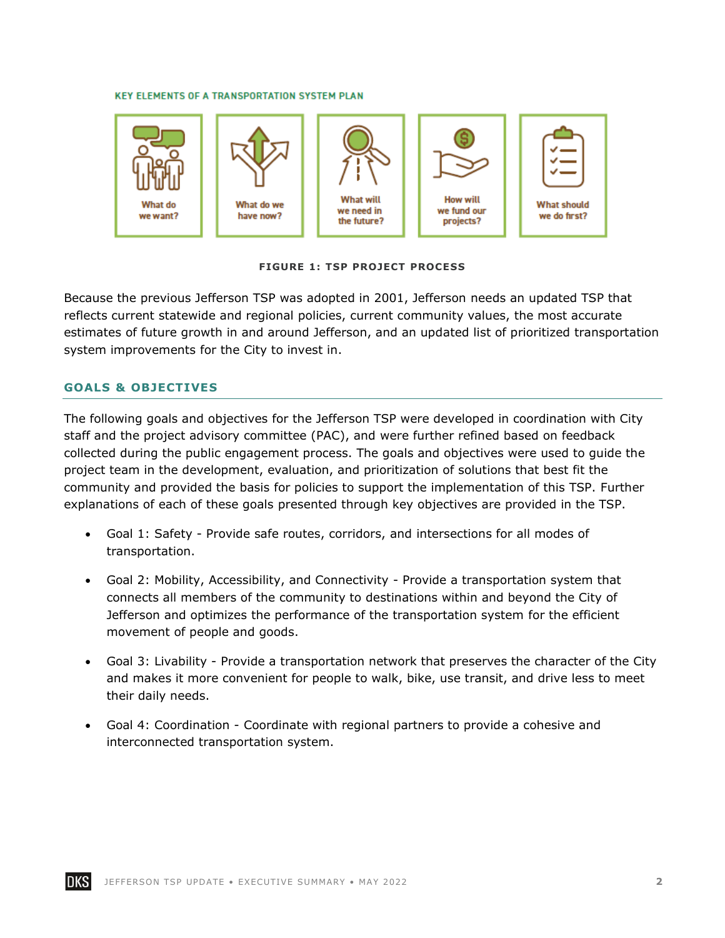#### **KEY ELEMENTS OF A TRANSPORTATION SYSTEM PLAN**



**FIGURE 1: TSP PROJECT PROCESS**

Because the previous Jefferson TSP was adopted in 2001, Jefferson needs an updated TSP that reflects current statewide and regional policies, current community values, the most accurate estimates of future growth in and around Jefferson, and an updated list of prioritized transportation system improvements for the City to invest in.

### **GOALS & OBJECTIVES**

The following goals and objectives for the Jefferson TSP were developed in coordination with City staff and the project advisory committee (PAC), and were further refined based on feedback collected during the public engagement process. The goals and objectives were used to guide the project team in the development, evaluation, and prioritization of solutions that best fit the community and provided the basis for policies to support the implementation of this TSP. Further explanations of each of these goals presented through key objectives are provided in the TSP.

- Goal 1: Safety Provide safe routes, corridors, and intersections for all modes of transportation.
- Goal 2: Mobility, Accessibility, and Connectivity Provide a transportation system that connects all members of the community to destinations within and beyond the City of Jefferson and optimizes the performance of the transportation system for the efficient movement of people and goods.
- Goal 3: Livability Provide a transportation network that preserves the character of the City and makes it more convenient for people to walk, bike, use transit, and drive less to meet their daily needs.
- Goal 4: Coordination Coordinate with regional partners to provide a cohesive and interconnected transportation system.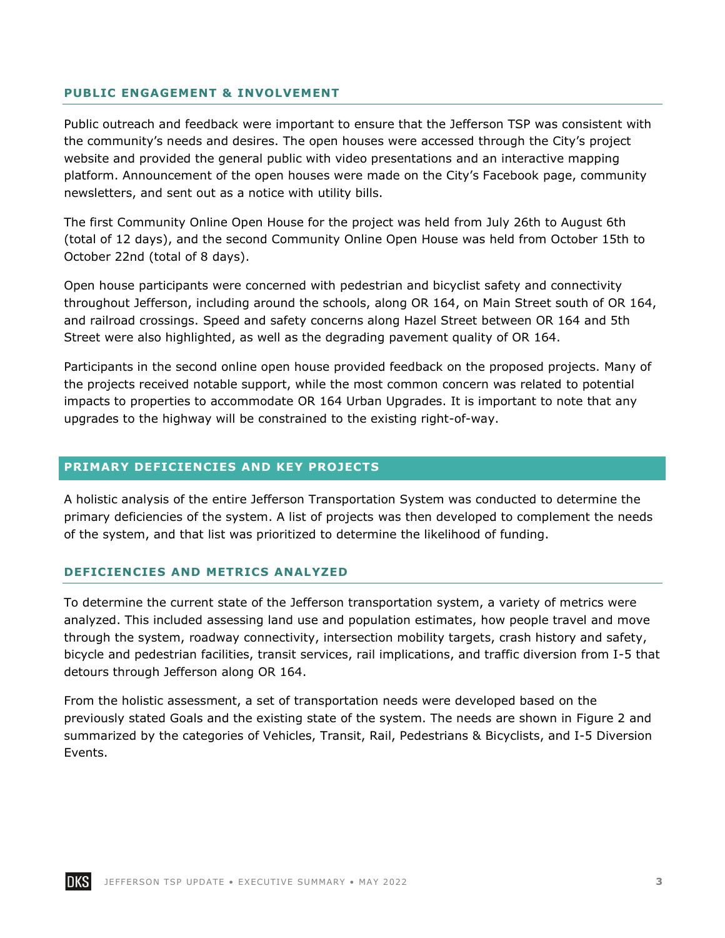### **PUBLIC ENGAGEMENT & INVOLVEMENT**

Public outreach and feedback were important to ensure that the Jefferson TSP was consistent with the community's needs and desires. The open houses were accessed through the City's project website and provided the general public with video presentations and an interactive mapping platform. Announcement of the open houses were made on the City's Facebook page, community newsletters, and sent out as a notice with utility bills.

The first Community Online Open House for the project was held from July 26th to August 6th (total of 12 days), and the second Community Online Open House was held from October 15th to October 22nd (total of 8 days).

Open house participants were concerned with pedestrian and bicyclist safety and connectivity throughout Jefferson, including around the schools, along OR 164, on Main Street south of OR 164, and railroad crossings. Speed and safety concerns along Hazel Street between OR 164 and 5th Street were also highlighted, as well as the degrading pavement quality of OR 164.

Participants in the second online open house provided feedback on the proposed projects. Many of the projects received notable support, while the most common concern was related to potential impacts to properties to accommodate OR 164 Urban Upgrades. It is important to note that any upgrades to the highway will be constrained to the existing right-of-way.

# **PRIMARY DEFICIENCIES AND KEY PROJECTS**

A holistic analysis of the entire Jefferson Transportation System was conducted to determine the primary deficiencies of the system. A list of projects was then developed to complement the needs of the system, and that list was prioritized to determine the likelihood of funding.

### **DEFICIENCIES AND METRICS ANALYZED**

To determine the current state of the Jefferson transportation system, a variety of metrics were analyzed. This included assessing land use and population estimates, how people travel and move through the system, roadway connectivity, intersection mobility targets, crash history and safety, bicycle and pedestrian facilities, transit services, rail implications, and traffic diversion from I-5 that detours through Jefferson along OR 164.

From the holistic assessment, a set of transportation needs were developed based on the previously stated Goals and the existing state of the system. The needs are shown in [Figure 2](#page-3-0) and summarized by the categories of Vehicles, Transit, Rail, Pedestrians & Bicyclists, and I-5 Diversion Events.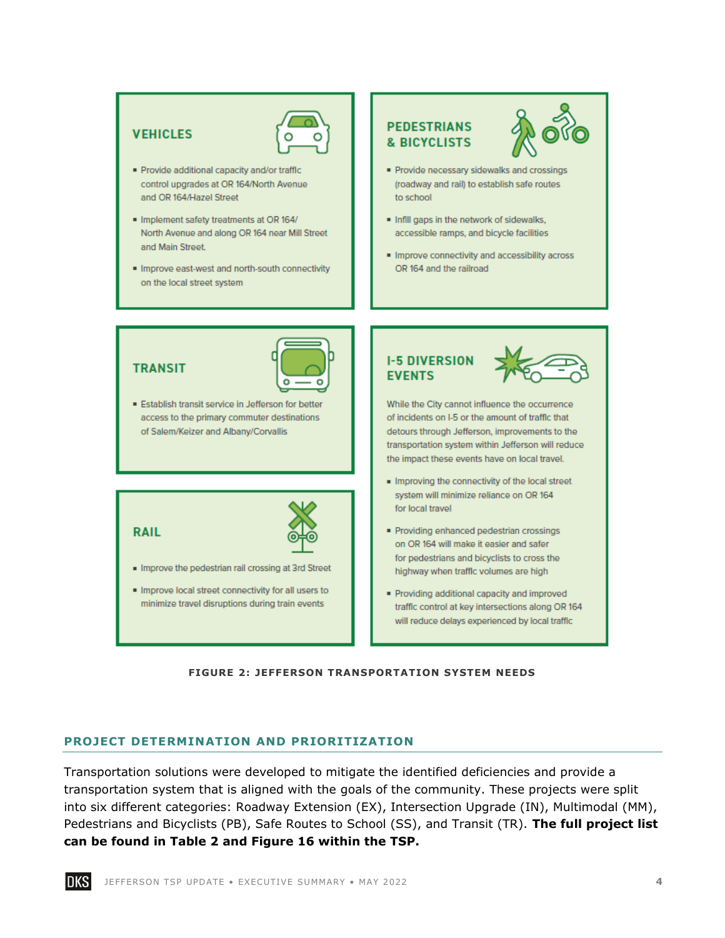# **VEHICLES**



- Provide additional capacity and/or traffic control upgrades at OR 164/North Avenue and OR 164/Hazel Street
- · Implement safety treatments at OR 164/ North Avenue and along OR 164 near Mill Street and Main Street.
- · Improve east-west and north-south connectivity on the local street system

# **PEDESTRIANS & BICYCLISTS**



- Provide necessary sidewalks and crossings (roadway and rail) to establish safe routes to school
- . Infill gaps in the network of sidewalks. accessible ramps, and bicycle facilities
- · Improve connectivity and accessibility across OR 164 and the railroad

# **TRANSIT**



Establish transit service in Jefferson for better access to the primary commuter destinations of Salem/Keizer and Albany/Corvallis

**RAIL** 



- . Improve the pedestrian rail crossing at 3rd Street
- . Improve local street connectivity for all users to minimize travel disruptions during train events

# **I-5 DIVERSION EVENTS**



While the City cannot influence the occurrence of incidents on I-5 or the amount of traffic that detours through Jefferson, improvements to the transportation system within Jefferson will reduce the impact these events have on local travel.

- . Improving the connectivity of the local street system will minimize reliance on OR 164 for local travel
- Providing enhanced pedestrian crossings on OR 164 will make it easier and safer for pedestrians and bicyclists to cross the highway when traffic volumes are high
- · Providing additional capacity and improved traffic control at key intersections along OR 164 will reduce delays experienced by local traffic

#### **FIGURE 2: JEFFERSON TRANSPORTATION SYSTEM NEEDS**

# <span id="page-3-0"></span>**PROJECT DETERMINATION AND PRIORITIZATION**

Transportation solutions were developed to mitigate the identified deficiencies and provide a transportation system that is aligned with the goals of the community. These projects were split into six different categories: Roadway Extension (EX), Intersection Upgrade (IN), Multimodal (MM), Pedestrians and Bicyclists (PB), Safe Routes to School (SS), and Transit (TR). **The full project list can be found in Table 2 and Figure 16 within the TSP.**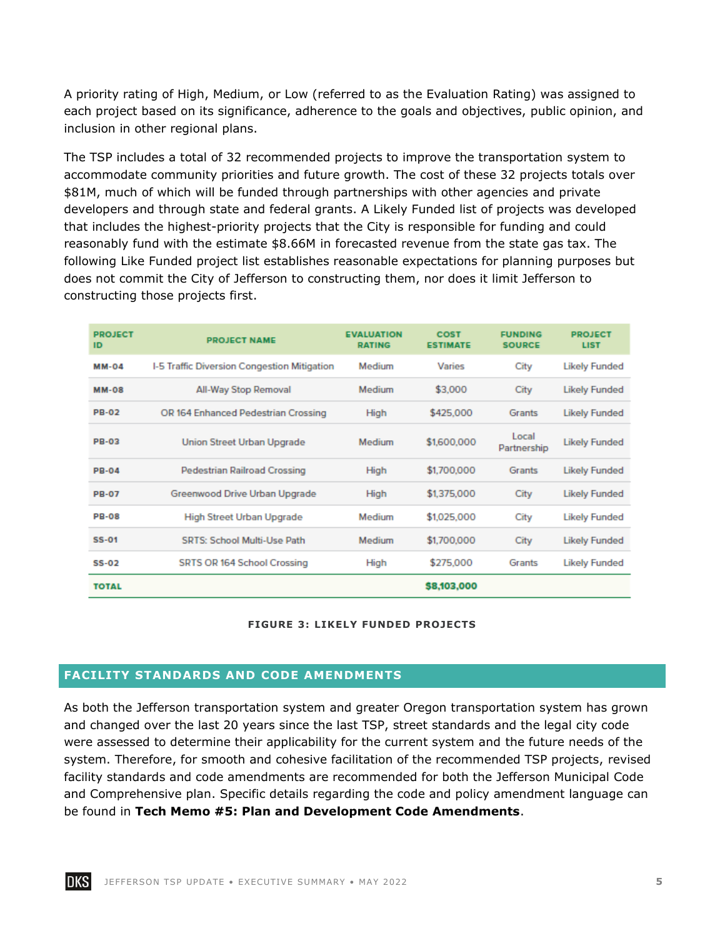A priority rating of High, Medium, or Low (referred to as the Evaluation Rating) was assigned to each project based on its significance, adherence to the goals and objectives, public opinion, and inclusion in other regional plans.

The TSP includes a total of 32 recommended projects to improve the transportation system to accommodate community priorities and future growth. The cost of these 32 projects totals over \$81M, much of which will be funded through partnerships with other agencies and private developers and through state and federal grants. A Likely Funded list of projects was developed that includes the highest-priority projects that the City is responsible for funding and could reasonably fund with the estimate \$8.66M in forecasted revenue from the state gas tax. The following Like Funded project list establishes reasonable expectations for planning purposes but does not commit the City of Jefferson to constructing them, nor does it limit Jefferson to constructing those projects first.

| <b>PROJECT</b><br>ID | <b>PROJECT NAME</b>                         | <b>EVALUATION</b><br><b>RATING</b> | <b>COST</b><br><b>ESTIMATE</b> | <b>FUNDING</b><br><b>SOURCE</b> | <b>PROJECT</b><br><b>LIST</b> |
|----------------------|---------------------------------------------|------------------------------------|--------------------------------|---------------------------------|-------------------------------|
| <b>MM-04</b>         | I-5 Traffic Diversion Congestion Mitigation | Medium                             | Varies                         | City                            | <b>Likely Funded</b>          |
| <b>MM-08</b>         | All-Way Stop Removal                        | Medium                             | \$3,000                        | City                            | <b>Likely Funded</b>          |
| <b>PB-02</b>         | OR 164 Enhanced Pedestrian Crossing         | High                               | \$425,000                      | Grants                          | <b>Likely Funded</b>          |
| <b>PB-03</b>         | Union Street Urban Upgrade                  | Medium                             | \$1,600,000                    | Local<br>Partnership            | <b>Likely Funded</b>          |
| <b>PB-04</b>         | Pedestrian Railroad Crossing                | High                               | \$1,700,000                    | <b>Grants</b>                   | <b>Likely Funded</b>          |
| <b>PB-07</b>         | Greenwood Drive Urban Upgrade               | High                               | \$1,375,000                    | City                            | <b>Likely Funded</b>          |
| <b>PB-08</b>         | High Street Urban Upgrade                   | Medium                             | \$1,025,000                    | City                            | <b>Likely Funded</b>          |
| <b>SS-01</b>         | <b>SRTS: School Multi-Use Path</b>          | Medium                             | \$1,700,000                    | City                            | <b>Likely Funded</b>          |
| $SS-02$              | SRTS OR 164 School Crossing                 | High                               | \$275,000                      | Grants                          | <b>Likely Funded</b>          |
| <b>TOTAL</b>         |                                             |                                    | \$8,103,000                    |                                 |                               |

### **FIGURE 3: LIKELY FUNDED PROJECTS**

# **FACILITY STANDARDS AND CODE AMENDMENTS**

As both the Jefferson transportation system and greater Oregon transportation system has grown and changed over the last 20 years since the last TSP, street standards and the legal city code were assessed to determine their applicability for the current system and the future needs of the system. Therefore, for smooth and cohesive facilitation of the recommended TSP projects, revised facility standards and code amendments are recommended for both the Jefferson Municipal Code and Comprehensive plan. Specific details regarding the code and policy amendment language can be found in **Tech Memo #5: Plan and Development Code Amendments**.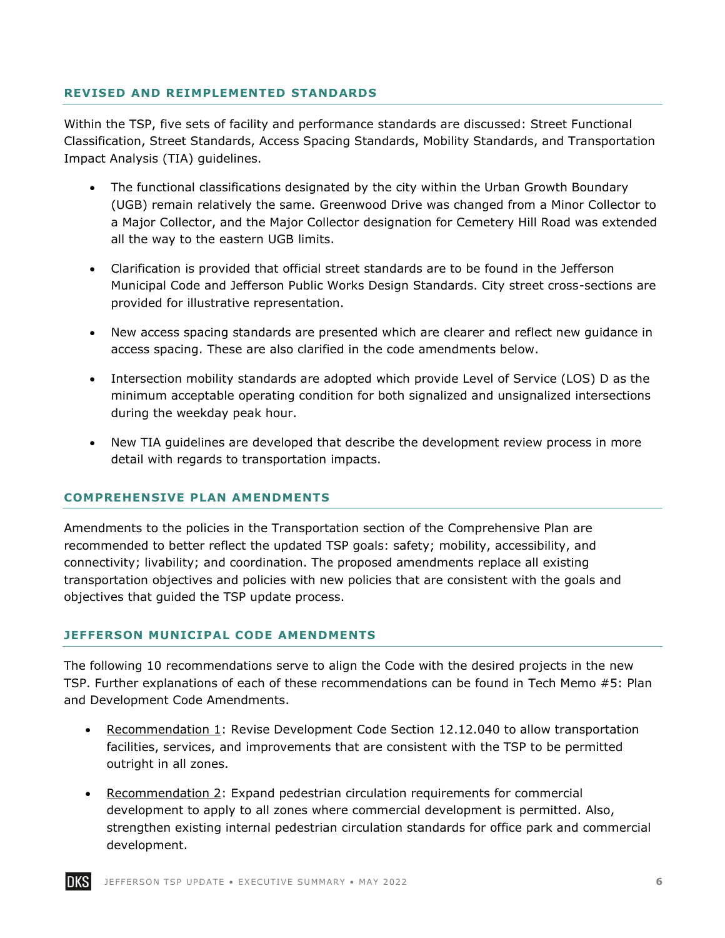# **REVISED AND REIMPLEMENTED STANDARDS**

Within the TSP, five sets of facility and performance standards are discussed: Street Functional Classification, Street Standards, Access Spacing Standards, Mobility Standards, and Transportation Impact Analysis (TIA) guidelines.

- The functional classifications designated by the city within the Urban Growth Boundary (UGB) remain relatively the same. Greenwood Drive was changed from a Minor Collector to a Major Collector, and the Major Collector designation for Cemetery Hill Road was extended all the way to the eastern UGB limits.
- Clarification is provided that official street standards are to be found in the Jefferson Municipal Code and Jefferson Public Works Design Standards. City street cross-sections are provided for illustrative representation.
- New access spacing standards are presented which are clearer and reflect new guidance in access spacing. These are also clarified in the code amendments below.
- Intersection mobility standards are adopted which provide Level of Service (LOS) D as the minimum acceptable operating condition for both signalized and unsignalized intersections during the weekday peak hour.
- New TIA guidelines are developed that describe the development review process in more detail with regards to transportation impacts.

## **COMPREHENSIVE PLAN AMENDMENTS**

Amendments to the policies in the Transportation section of the Comprehensive Plan are recommended to better reflect the updated TSP goals: safety; mobility, accessibility, and connectivity; livability; and coordination. The proposed amendments replace all existing transportation objectives and policies with new policies that are consistent with the goals and objectives that guided the TSP update process.

### **JEFFERSON MUNICIPAL CODE AMENDMENTS**

The following 10 recommendations serve to align the Code with the desired projects in the new TSP. Further explanations of each of these recommendations can be found in Tech Memo #5: Plan and Development Code Amendments.

- Recommendation 1: Revise Development Code Section 12.12.040 to allow transportation facilities, services, and improvements that are consistent with the TSP to be permitted outright in all zones.
- Recommendation 2: Expand pedestrian circulation requirements for commercial development to apply to all zones where commercial development is permitted. Also, strengthen existing internal pedestrian circulation standards for office park and commercial development.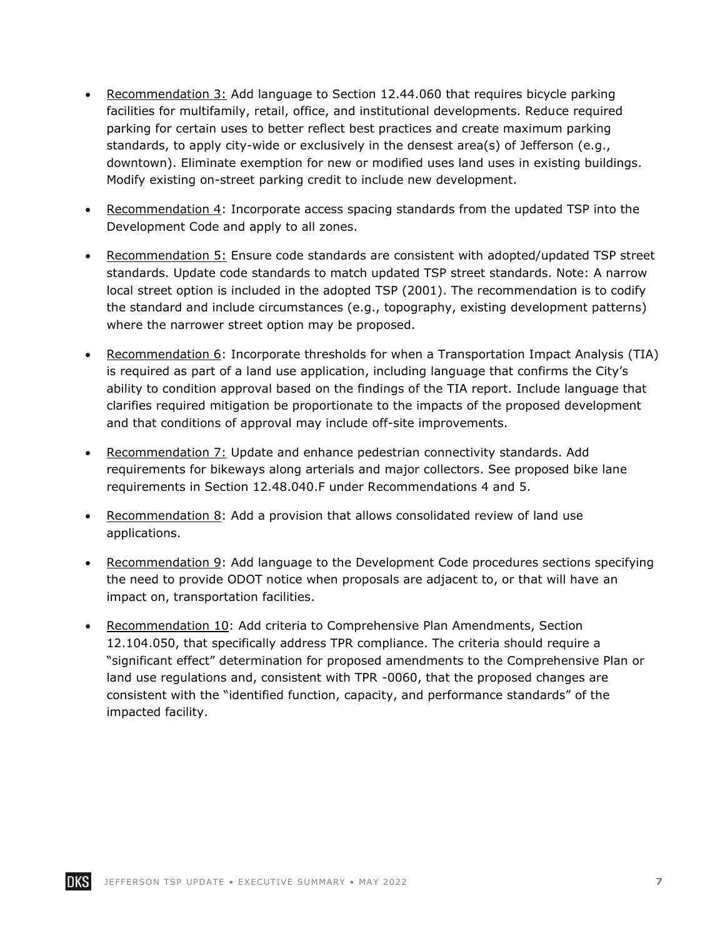- Recommendation 3: Add language to Section 12.44.060 that requires bicycle parking facilities for multifamily, retail, office, and institutional developments. Reduce required parking for certain uses to better reflect best practices and create maximum parking standards, to apply city-wide or exclusively in the densest area(s) of Jefferson (e.g., downtown). Eliminate exemption for new or modified uses land uses in existing buildings. Modify existing on-street parking credit to include new development.
- Recommendation 4: Incorporate access spacing standards from the updated TSP into the Development Code and apply to all zones.
- Recommendation 5: Ensure code standards are consistent with adopted/updated TSP street standards. Update code standards to match updated TSP street standards. Note: A narrow local street option is included in the adopted TSP (2001). The recommendation is to codify the standard and include circumstances (e.g., topography, existing development patterns) where the narrower street option may be proposed.
- Recommendation 6: Incorporate thresholds for when a Transportation Impact Analysis (TIA) is required as part of a land use application, including language that confirms the City's ability to condition approval based on the findings of the TIA report. Include language that clarifies required mitigation be proportionate to the impacts of the proposed development and that conditions of approval may include off-site improvements.
- Recommendation 7: Update and enhance pedestrian connectivity standards. Add requirements for bikeways along arterials and major collectors. See proposed bike lane requirements in Section 12.48.040.F under Recommendations 4 and 5.
- Recommendation 8: Add a provision that allows consolidated review of land use applications.
- Recommendation 9: Add language to the Development Code procedures sections specifying the need to provide ODOT notice when proposals are adjacent to, or that will have an impact on, transportation facilities.
- Recommendation 10: Add criteria to Comprehensive Plan Amendments, Section 12.104.050, that specifically address TPR compliance. The criteria should require a "significant effect" determination for proposed amendments to the Comprehensive Plan or land use regulations and, consistent with TPR -0060, that the proposed changes are consistent with the "identified function, capacity, and performance standards" of the impacted facility.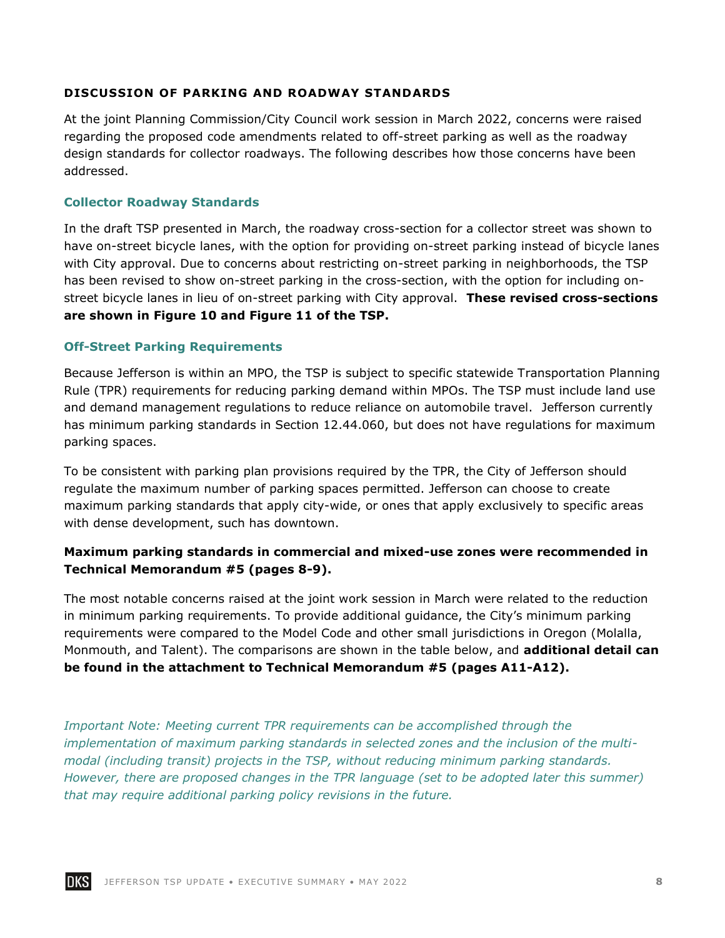# **DISCUSSION OF PARKING AND ROADWAY STANDARDS**

At the joint Planning Commission/City Council work session in March 2022, concerns were raised regarding the proposed code amendments related to off-street parking as well as the roadway design standards for collector roadways. The following describes how those concerns have been addressed.

## **Collector Roadway Standards**

In the draft TSP presented in March, the roadway cross-section for a collector street was shown to have on-street bicycle lanes, with the option for providing on-street parking instead of bicycle lanes with City approval. Due to concerns about restricting on-street parking in neighborhoods, the TSP has been revised to show on-street parking in the cross-section, with the option for including onstreet bicycle lanes in lieu of on-street parking with City approval. **These revised cross-sections are shown in Figure 10 and Figure 11 of the TSP.**

# **Off-Street Parking Requirements**

Because Jefferson is within an MPO, the TSP is subject to specific statewide Transportation Planning Rule (TPR) requirements for reducing parking demand within MPOs. The TSP must include land use and demand management regulations to reduce reliance on automobile travel. Jefferson currently has minimum parking standards in Section 12.44.060, but does not have regulations for maximum parking spaces.

To be consistent with parking plan provisions required by the TPR, the City of Jefferson should regulate the maximum number of parking spaces permitted. Jefferson can choose to create maximum parking standards that apply city-wide, or ones that apply exclusively to specific areas with dense development, such has downtown.

# **Maximum parking standards in commercial and mixed-use zones were recommended in Technical Memorandum #5 (pages 8-9).**

The most notable concerns raised at the joint work session in March were related to the reduction in minimum parking requirements. To provide additional guidance, the City's minimum parking requirements were compared to the Model Code and other small jurisdictions in Oregon (Molalla, Monmouth, and Talent). The comparisons are shown in the table below, and **additional detail can be found in the attachment to Technical Memorandum #5 (pages A11-A12).** 

*Important Note: Meeting current TPR requirements can be accomplished through the implementation of maximum parking standards in selected zones and the inclusion of the multimodal (including transit) projects in the TSP, without reducing minimum parking standards. However, there are proposed changes in the TPR language (set to be adopted later this summer) that may require additional parking policy revisions in the future.*